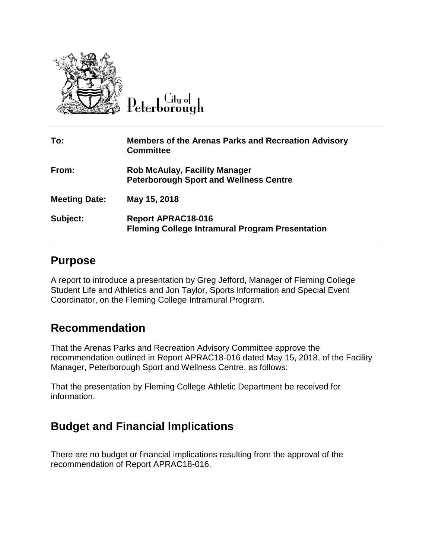

 $C$ ity ot

| To:                  | <b>Members of the Arenas Parks and Recreation Advisory</b><br><b>Committee</b>        |
|----------------------|---------------------------------------------------------------------------------------|
| From:                | <b>Rob McAulay, Facility Manager</b><br><b>Peterborough Sport and Wellness Centre</b> |
| <b>Meeting Date:</b> | May 15, 2018                                                                          |
| Subject:             | <b>Report APRAC18-016</b><br><b>Fleming College Intramural Program Presentation</b>   |

## **Purpose**

A report to introduce a presentation by Greg Jefford, Manager of Fleming College Student Life and Athletics and Jon Taylor, Sports Information and Special Event Coordinator, on the Fleming College Intramural Program.

## **Recommendation**

That the Arenas Parks and Recreation Advisory Committee approve the recommendation outlined in Report APRAC18-016 dated May 15, 2018, of the Facility Manager, Peterborough Sport and Wellness Centre, as follows:

That the presentation by Fleming College Athletic Department be received for information.

## **Budget and Financial Implications**

There are no budget or financial implications resulting from the approval of the recommendation of Report APRAC18-016.